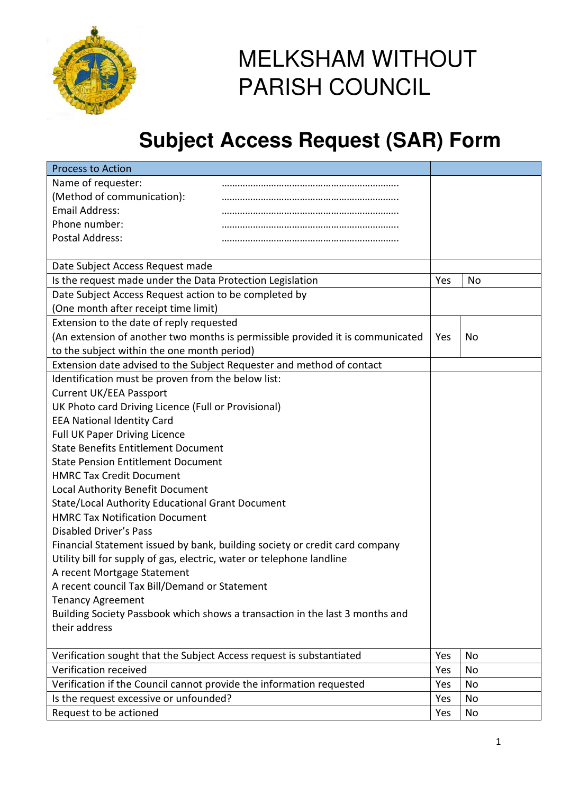

## MELKSHAM WITHOUT PARISH COUNCIL

## **Subject Access Request (SAR) Form**

| <b>Process to Action</b>                                                       |                                                                             |           |    |
|--------------------------------------------------------------------------------|-----------------------------------------------------------------------------|-----------|----|
| Name of requester:                                                             |                                                                             |           |    |
| (Method of communication):                                                     |                                                                             |           |    |
| <b>Email Address:</b>                                                          |                                                                             |           |    |
| Phone number:                                                                  |                                                                             |           |    |
| <b>Postal Address:</b>                                                         |                                                                             |           |    |
|                                                                                |                                                                             |           |    |
| Date Subject Access Request made                                               |                                                                             |           |    |
| Is the request made under the Data Protection Legislation                      |                                                                             |           | No |
| Date Subject Access Request action to be completed by                          |                                                                             |           |    |
| (One month after receipt time limit)                                           |                                                                             |           |    |
| Extension to the date of reply requested                                       |                                                                             |           |    |
| (An extension of another two months is permissible provided it is communicated |                                                                             |           | No |
| to the subject within the one month period)                                    |                                                                             |           |    |
| Extension date advised to the Subject Requester and method of contact          |                                                                             |           |    |
| Identification must be proven from the below list:                             |                                                                             |           |    |
| <b>Current UK/EEA Passport</b>                                                 |                                                                             |           |    |
| UK Photo card Driving Licence (Full or Provisional)                            |                                                                             |           |    |
| <b>EEA National Identity Card</b>                                              |                                                                             |           |    |
| <b>Full UK Paper Driving Licence</b>                                           |                                                                             |           |    |
| <b>State Benefits Entitlement Document</b>                                     |                                                                             |           |    |
| <b>State Pension Entitlement Document</b>                                      |                                                                             |           |    |
| <b>HMRC Tax Credit Document</b>                                                |                                                                             |           |    |
| Local Authority Benefit Document                                               |                                                                             |           |    |
| State/Local Authority Educational Grant Document                               |                                                                             |           |    |
| <b>HMRC Tax Notification Document</b>                                          |                                                                             |           |    |
| <b>Disabled Driver's Pass</b>                                                  |                                                                             |           |    |
|                                                                                | Financial Statement issued by bank, building society or credit card company |           |    |
| Utility bill for supply of gas, electric, water or telephone landline          |                                                                             |           |    |
| A recent Mortgage Statement                                                    |                                                                             |           |    |
| A recent council Tax Bill/Demand or Statement                                  |                                                                             |           |    |
| <b>Tenancy Agreement</b>                                                       |                                                                             |           |    |
| Building Society Passbook which shows a transaction in the last 3 months and   |                                                                             |           |    |
| their address                                                                  |                                                                             |           |    |
|                                                                                |                                                                             |           |    |
| Verification sought that the Subject Access request is substantiated           | Yes                                                                         | <b>No</b> |    |
| Verification received                                                          |                                                                             |           | No |
| Verification if the Council cannot provide the information requested           |                                                                             |           | No |
| Is the request excessive or unfounded?                                         |                                                                             |           | No |
| Request to be actioned                                                         | Yes                                                                         | No        |    |